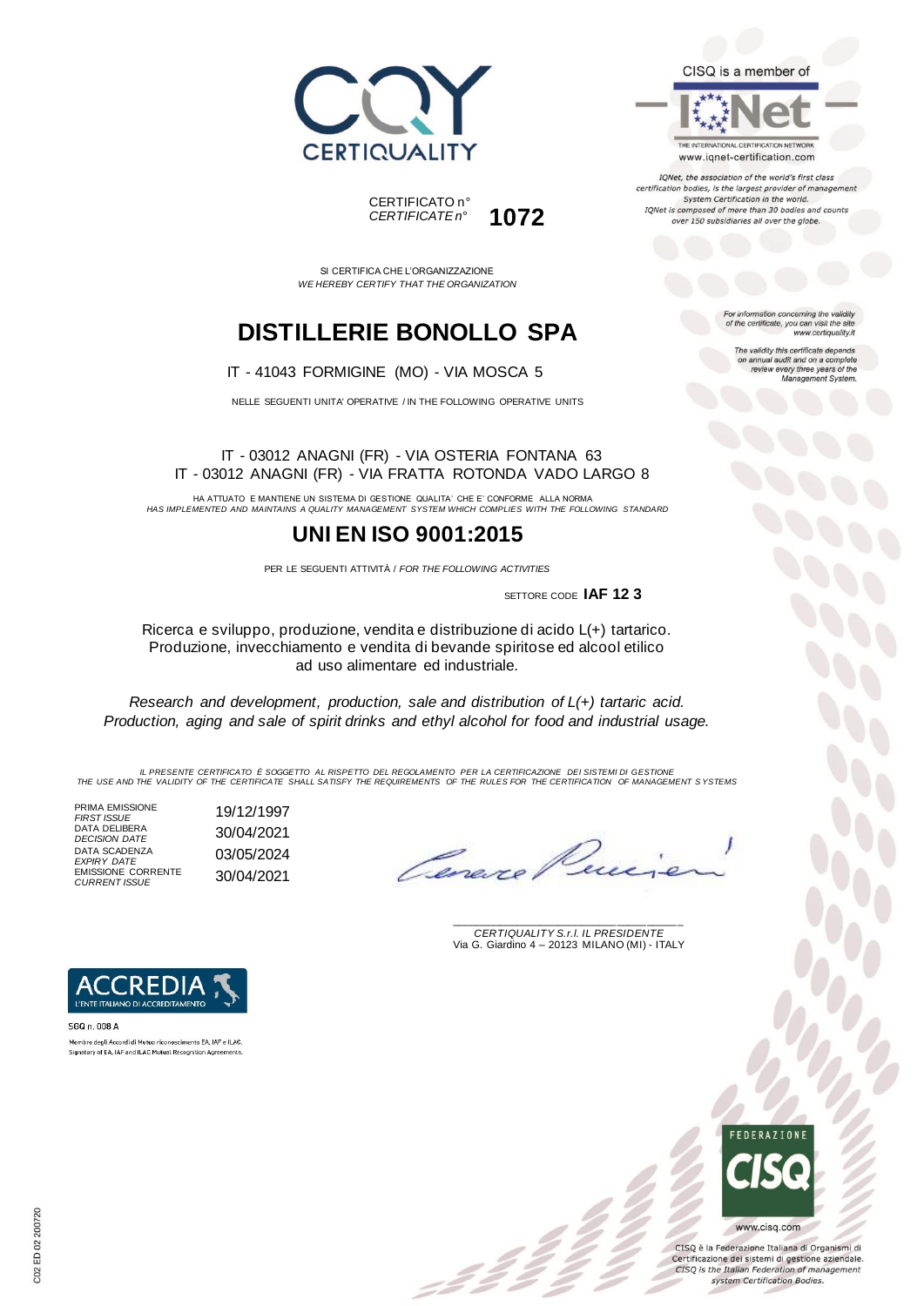



SI CERTIFICA CHE L'ORGANIZZAZIONE *WE HEREBY CERTIFY THAT THE ORGANIZATION*

# **DISTILLERIE BONOLLO SPA**

### IT - 41043 FORMIGINE (MO) - VIA MOSCA 5

NELLE SEGUENTI UNITA' OPERATIVE / IN THE FOLLOWING OPERATIVE UNITS

#### IT - 03012 ANAGNI (FR) - VIA OSTERIA FONTANA 63 IT - 03012 ANAGNI (FR) - VIA FRATTA ROTONDA VADO LARGO 8

HA ATTUATO E MANTIENE UN SISTEMA DI GESTIONE QUALITA' CHE E' CONFORME ALLA NORMA *HAS IMPLEMENTED AND MAINTAINS A QUALITY MANAGEMENT SYSTEM WHICH COMPLIES WITH THE FOLLOWING STANDARD*

## **UNI EN ISO 9001:2015**

PER LE SEGUENTI ATTIVITÀ / *FOR THE FOLLOWING ACTIVITIES*

SETTORE CODE **IAF 12 3**

Ricerca e sviluppo, produzione, vendita e distribuzione di acido L(+) tartarico. Produzione, invecchiamento e vendita di bevande spiritose ed alcool etilico ad uso alimentare ed industriale.

*Research and development, production, sale and distribution of L(+) tartaric acid. Production, aging and sale of spirit drinks and ethyl alcohol for food and industrial usage.*

*IL PRESENTE CERTIFICATO È SOGGETTO AL RISPETTO DEL REGOLAMENTO PER LA CERTIFICAZIONE DEI SISTEMI DI GESTIONE THE USE AND THE VALIDITY OF THE CERTIFICATE SHALL SATISFY THE REQUIREMENTS OF THE RULES FOR THE CERTIFICATION OF MANAGEMENT S YSTEMS*

PRIMA EMISSIONE *FIRST ISSUE* 19/12/1997 DATA DELIBERA *DECISION DATE* 30/04/2021 DATA SCADENZA *EXPIRY DATE* 03/05/2024 EMISSIONE CORRENTE *CURRENT ISSUE* 30/04/2021

\_\_\_\_\_\_\_\_\_\_\_\_\_\_\_\_\_\_\_\_\_\_\_\_\_\_\_\_\_\_\_\_\_\_\_\_\_\_\_ *CERTIQUALITY S.r.l. IL PRESIDENTE* Via G. Giardino 4 – 20123 MILANO (MI) - ITALY



CISQ è la Federazione Italiana di Organismi di Certificazione dei sistemi di gestione aziendale. CISQ is the Italian Federation of management system Certification Bodies.



Membro degli Accordi di Mutuo riconoscimento EA, IAF e ILAC. Signatory of EA, IAF and ILAC Mutual Recognition Agreements

CISQ is a member of

THE INTERNATIONAL CERTIFICATION NETWORK www.iqnet-certification.com

IQNet, the association of the world's first class certification bodies, is the largest provider of managen System Certification in the world. IQNet is composed of more than 30 bodies and counts over 150 subsidiaries all over the globe.

> For information concerning the validity<br>of the certificate, you can visit the site www.certiquality.it

> > The validity this certificate depends on annual audit and on a complete<br>review every three years of the<br>Management System.